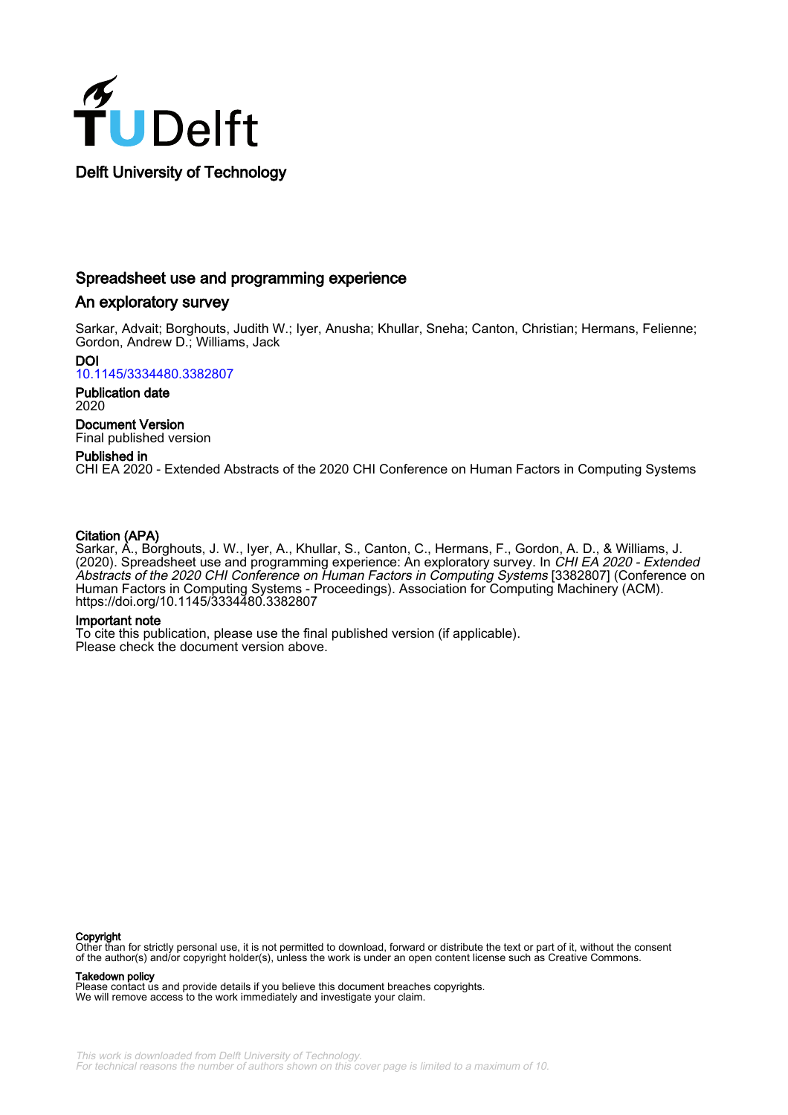

# Spreadsheet use and programming experience

# An exploratory survey

Sarkar, Advait; Borghouts, Judith W.; Iyer, Anusha; Khullar, Sneha; Canton, Christian; Hermans, Felienne; Gordon, Andrew D.; Williams, Jack

DOI [10.1145/3334480.3382807](https://doi.org/10.1145/3334480.3382807)

Publication date 2020

Document Version Final published version

# Published in

CHI EA 2020 - Extended Abstracts of the 2020 CHI Conference on Human Factors in Computing Systems

# Citation (APA)

Sarkar, A., Borghouts, J. W., Iyer, A., Khullar, S., Canton, C., Hermans, F., Gordon, A. D., & Williams, J. (2020). Spreadsheet use and programming experience: An exploratory survey. In CHI EA 2020 - Extended Abstracts of the 2020 CHI Conference on Human Factors in Computing Systems [3382807] (Conference on Human Factors in Computing Systems - Proceedings). Association for Computing Machinery (ACM). <https://doi.org/10.1145/3334480.3382807>

## Important note

To cite this publication, please use the final published version (if applicable). Please check the document version above.

#### **Copyright**

Other than for strictly personal use, it is not permitted to download, forward or distribute the text or part of it, without the consent<br>of the author(s) and/or copyright holder(s), unless the work is under an open content

Takedown policy

Please contact us and provide details if you believe this document breaches copyrights. We will remove access to the work immediately and investigate your claim.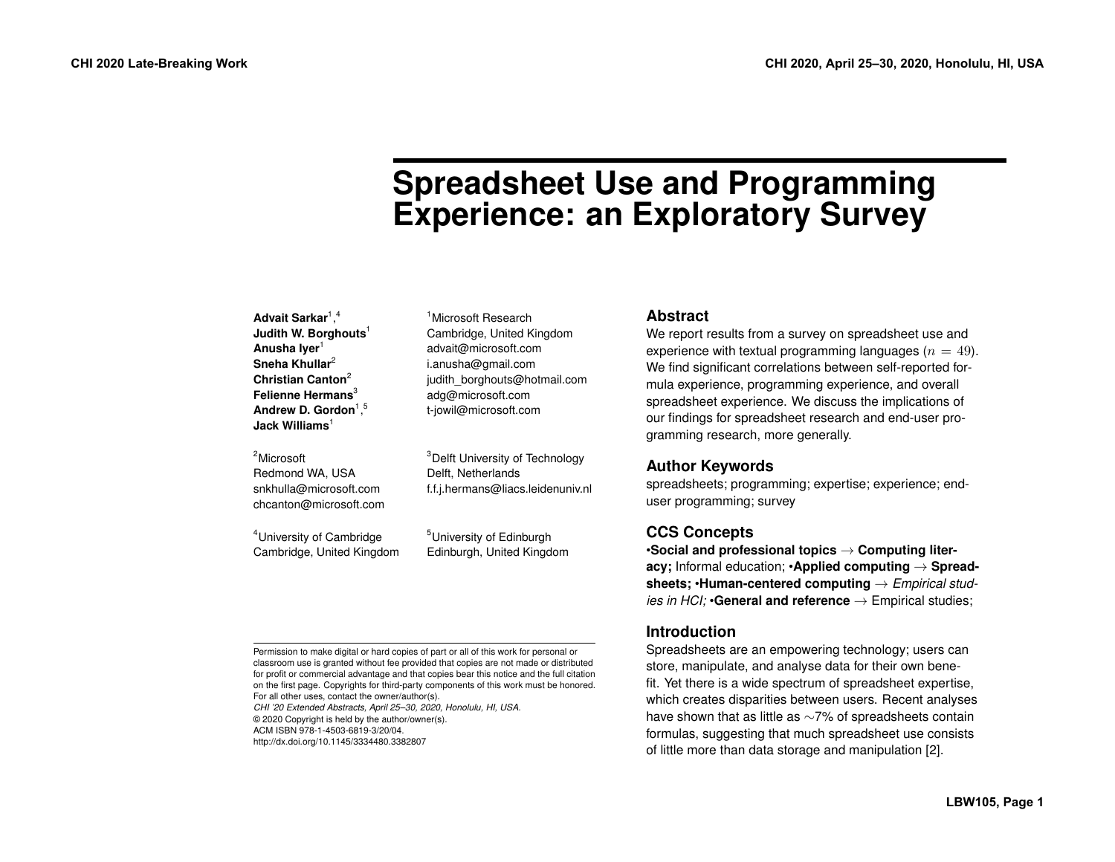# **Spreadsheet Use and Programming Experience: an Exploratory Survey**

| Advait Sarkar <sup>1,4</sup><br>Judith W. Borghouts <sup>1</sup><br>Anusha Iyer <sup>1</sup><br>Sneha Khullar <sup>2</sup><br>Christian Canton <sup>2</sup><br>Felienne Hermans <sup>3</sup><br>Andrew D. Gordon <sup>1,5</sup><br>Jack Williams $1$ | <sup>1</sup> Microsoft Research<br>Cambridge, United Kingdom<br>advait@microsoft.com<br>i.anusha@gmail.com<br>judith_borghouts@hotmail.com<br>adg@microsoft.com<br>t-jowil@microsoft.com | <b>Abstract</b><br>We report results from a survey on spreadsheet use and<br>experience with textual programming languages ( $n = 49$ ).<br>We find significant correlations between self-reported for-<br>mula experience, programming experience, and overall<br>spreadsheet experience. We discuss the implications of<br>our findings for spreadsheet research and end-user pro-<br>gramming research, more generally. |
|------------------------------------------------------------------------------------------------------------------------------------------------------------------------------------------------------------------------------------------------------|------------------------------------------------------------------------------------------------------------------------------------------------------------------------------------------|----------------------------------------------------------------------------------------------------------------------------------------------------------------------------------------------------------------------------------------------------------------------------------------------------------------------------------------------------------------------------------------------------------------------------|
| <sup>2</sup> Microsoft<br>Redmond WA, USA<br>snkhulla@microsoft.com<br>chcanton@microsoft.com                                                                                                                                                        | <sup>3</sup> Delft University of Technology<br>Delft. Netherlands<br>f.f.j.hermans@liacs.leidenuniv.nl                                                                                   | <b>Author Keywords</b><br>spreadsheets; programming; expertise; experience; end-<br>user programming; survey                                                                                                                                                                                                                                                                                                               |
| <sup>4</sup> University of Cambridge<br>Cambridge, United Kingdom                                                                                                                                                                                    | <sup>5</sup> University of Edinburgh<br>Edinburgh, United Kingdom                                                                                                                        | <b>CCS Concepts</b><br>$\cdot$ Social and professional topics $\rightarrow$ Computing liter-<br>acy; Informal education; $\cdot$ Applied computing $\rightarrow$ Spread-<br>sheets; $\cdot$ Human-centered computing $\rightarrow$ Empirical stud-                                                                                                                                                                         |

Permission to make digital or hard copies of part or all of this work for personal or classroom use is granted without fee provided that copies are not made or distributed for profit or commercial advantage and that copies bear this notice and the full citation on the first page. Copyrights for third-party components of this work must be honored. For all other uses, contact the owner/author(s).

*CHI '20 Extended Abstracts, April 25–30, 2020, Honolulu, HI, USA.*  © 2020 Copyright is held by the author/owner(s). ACM ISBN 978-1-4503-6819-3/20/04.

<http://dx.doi.org/10.1145/3334480.3382807>

**Introduction**

Spreadsheets are an empowering technology; users can store, manipulate, and analyse data for their own benefit. Yet there is a wide spectrum of spreadsheet expertise, which creates disparities between users. Recent analyses have shown that as little as ∼7% of spreadsheets contain formulas, suggesting that much spreadsheet use consists of little more than data storage and manipulation [\[2\]](#page-7-0).

*ies in HCI;* •**General and reference** → Empirical studies;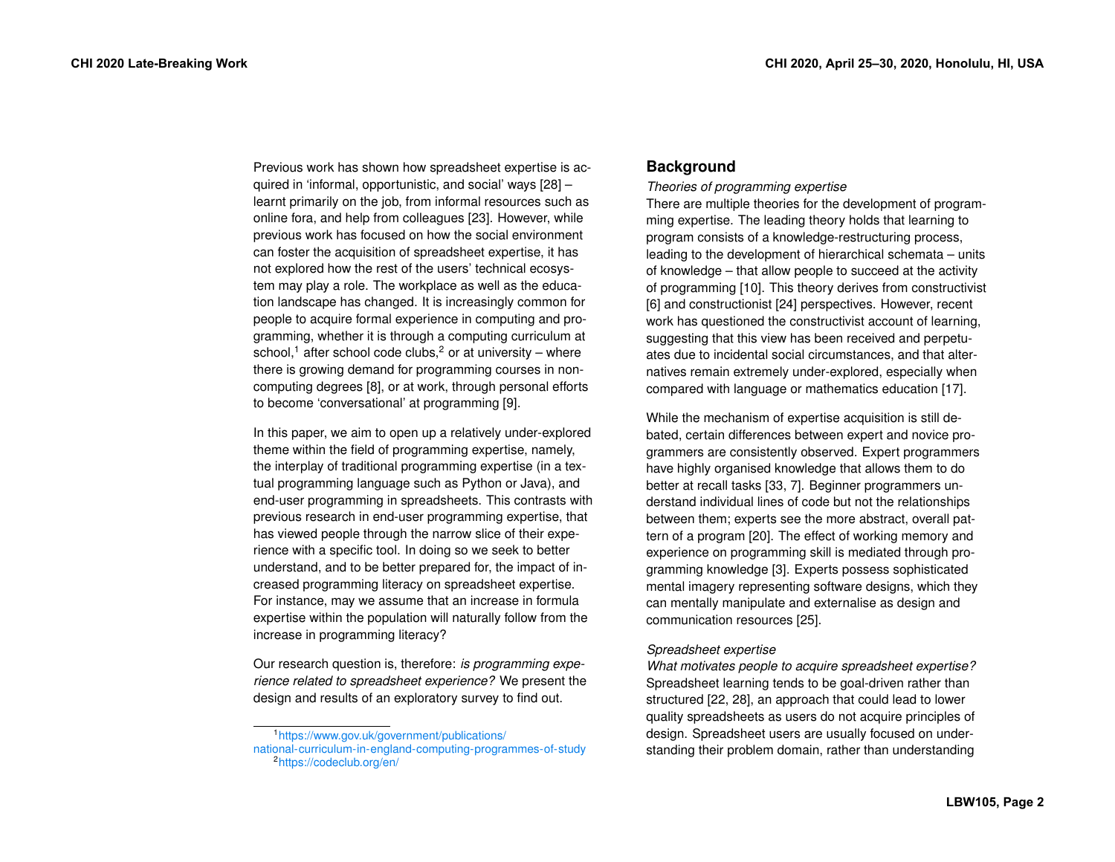Previous work has shown how spreadsheet expertise is acquired in 'informal, opportunistic, and social' ways [\[28\]](#page-8-0) – learnt primarily on the job, from informal resources such as online fora, and help from colleagues [\[23\]](#page-8-1). However, while previous work has focused on how the social environment can foster the acquisition of spreadsheet expertise, it has not explored how the rest of the users' technical ecosystem may play a role. The workplace as well as the education landscape has changed. It is increasingly common for people to acquire formal experience in computing and programming, whether it is through a computing curriculum at school,<sup>1</sup> after school code clubs,<sup>2</sup> or at university – where there is growing demand for programming courses in noncomputing degrees [\[8\]](#page-7-1), or at work, through personal efforts to become 'conversational' at programming [\[9\]](#page-7-2).

In this paper, we aim to open up a relatively under-explored theme within the field of programming expertise, namely, the interplay of traditional programming expertise (in a textual programming language such as Python or Java), and end-user programming in spreadsheets. This contrasts with previous research in end-user programming expertise, that has viewed people through the narrow slice of their experience with a specific tool. In doing so we seek to better understand, and to be better prepared for, the impact of increased programming literacy on spreadsheet expertise. For instance, may we assume that an increase in formula expertise within the population will naturally follow from the increase in programming literacy?

Our research question is, therefore: *is programming experience related to spreadsheet experience?* We present the design and results of an exploratory survey to find out.

# **Background**

*Theories of programming expertise* 

There are multiple theories for the development of programming expertise. The leading theory holds that learning to program consists of a knowledge-restructuring process, leading to the development of hierarchical schemata – units of knowledge – that allow people to succeed at the activity of programming [\[10\]](#page-7-3). This theory derives from constructivist [\[6\]](#page-7-4) and constructionist [\[24\]](#page-8-2) perspectives. However, recent work has questioned the constructivist account of learning, suggesting that this view has been received and perpetuates due to incidental social circumstances, and that alternatives remain extremely under-explored, especially when compared with language or mathematics education [\[17\]](#page-8-3).

While the mechanism of expertise acquisition is still debated, certain differences between expert and novice programmers are consistently observed. Expert programmers have highly organised knowledge that allows them to do better at recall tasks [\[33,](#page-9-0) [7\]](#page-7-5). Beginner programmers understand individual lines of code but not the relationships between them; experts see the more abstract, overall pattern of a program [\[20\]](#page-8-4). The effect of working memory and experience on programming skill is mediated through programming knowledge [\[3\]](#page-7-6). Experts possess sophisticated mental imagery representing software designs, which they can mentally manipulate and externalise as design and communication resources [\[25\]](#page-8-5).

## *Spreadsheet expertise*

*What motivates people to acquire spreadsheet expertise?*  Spreadsheet learning tends to be goal-driven rather than structured [\[22,](#page-8-6) [28\]](#page-8-0), an approach that could lead to lower quality spreadsheets as users do not acquire principles of design. Spreadsheet users are usually focused on understanding their problem domain, rather than understanding

<span id="page-2-1"></span><span id="page-2-0"></span>[<sup>1</sup>https://www.gov.uk/government/publications/](https://www.gov.uk/government/publications/national-curriculum-in-england-computing-programmes-of-study)  [national-curriculum-in-england-computing-programmes-of-study 2](https://www.gov.uk/government/publications/national-curriculum-in-england-computing-programmes-of-study)<https://codeclub.org/en/>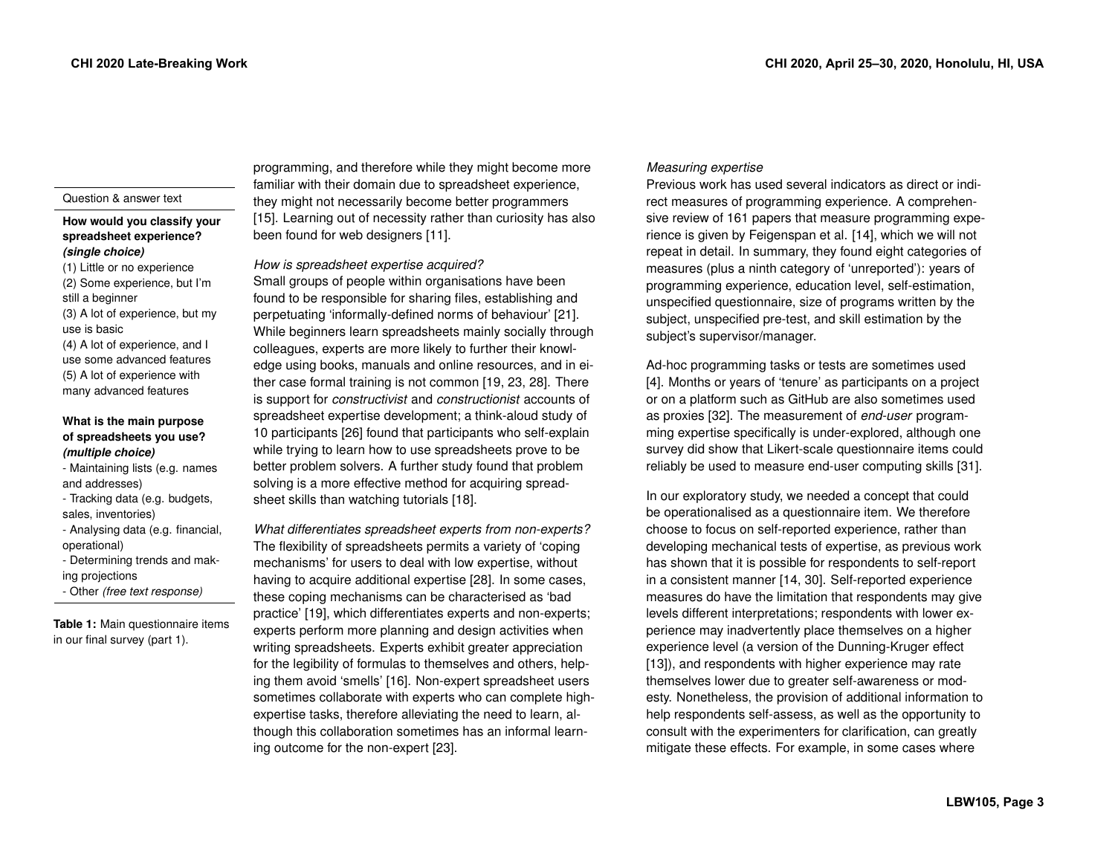#### Question & answer text

## **How would you classify your spreadsheet experience?** *(single choice)*

(1) Little or no experience (2) Some experience, but I'm still a beginner (3) A lot of experience, but my use is basic (4) A lot of experience, and I use some advanced features (5) A lot of experience with many advanced features

## **What is the main purpose of spreadsheets you use?** *(multiple choice)*

- Maintaining lists (e.g. names and addresses)
- Tracking data (e.g. budgets, sales, inventories)
- Analysing data (e.g. financial, operational)
- Determining trends and making projections
- <span id="page-3-0"></span>- Other *(free text response)*

**Table 1:** Main questionnaire items in our final survey (part 1).

programming, and therefore while they might become more familiar with their domain due to spreadsheet experience, they might not necessarily become better programmers [\[15\]](#page-8-7). Learning out of necessity rather than curiosity has also been found for web designers [\[11\]](#page-7-7).

*How is spreadsheet expertise acquired?* 

Small groups of people within organisations have been found to be responsible for sharing files, establishing and perpetuating 'informally-defined norms of behaviour' [\[21\]](#page-8-8). While beginners learn spreadsheets mainly socially through colleagues, experts are more likely to further their knowledge using books, manuals and online resources, and in either case formal training is not common [\[19,](#page-8-9) [23,](#page-8-1) [28\]](#page-8-0). There is support for *constructivist* and *constructionist* accounts of spreadsheet expertise development; a think-aloud study of 10 participants [\[26\]](#page-8-10) found that participants who self-explain while trying to learn how to use spreadsheets prove to be better problem solvers. A further study found that problem solving is a more effective method for acquiring spreadsheet skills than watching tutorials [\[18\]](#page-8-11).

*What differentiates spreadsheet experts from non-experts?*  The flexibility of spreadsheets permits a variety of 'coping mechanisms' for users to deal with low expertise, without having to acquire additional expertise [\[28\]](#page-8-0). In some cases, these coping mechanisms can be characterised as 'bad practice' [\[19\]](#page-8-9), which differentiates experts and non-experts; experts perform more planning and design activities when writing spreadsheets. Experts exhibit greater appreciation for the legibility of formulas to themselves and others, helping them avoid 'smells' [\[16\]](#page-8-12). Non-expert spreadsheet users sometimes collaborate with experts who can complete highexpertise tasks, therefore alleviating the need to learn, although this collaboration sometimes has an informal learning outcome for the non-expert [\[23\]](#page-8-1).

## *Measuring expertise*

Previous work has used several indicators as direct or indirect measures of programming experience. A comprehensive review of 161 papers that measure programming experience is given by Feigenspan et al. [\[14\]](#page-8-13), which we will not repeat in detail. In summary, they found eight categories of measures (plus a ninth category of 'unreported'): years of programming experience, education level, self-estimation, unspecified questionnaire, size of programs written by the subject, unspecified pre-test, and skill estimation by the subject's supervisor/manager.

Ad-hoc programming tasks or tests are sometimes used [\[4\]](#page-7-8). Months or years of 'tenure' as participants on a project or on a platform such as GitHub are also sometimes used as proxies [\[32\]](#page-9-1). The measurement of *end-user* programming expertise specifically is under-explored, although one survey did show that Likert-scale questionnaire items could reliably be used to measure end-user computing skills [\[31\]](#page-9-2).

In our exploratory study, we needed a concept that could be operationalised as a questionnaire item. We therefore choose to focus on self-reported experience, rather than developing mechanical tests of expertise, as previous work has shown that it is possible for respondents to self-report in a consistent manner [\[14,](#page-8-13) [30\]](#page-9-3). Self-reported experience measures do have the limitation that respondents may give levels different interpretations; respondents with lower experience may inadvertently place themselves on a higher experience level (a version of the Dunning-Kruger effect [\[13\]](#page-7-9)), and respondents with higher experience may rate themselves lower due to greater self-awareness or modesty. Nonetheless, the provision of additional information to help respondents self-assess, as well as the opportunity to consult with the experimenters for clarification, can greatly mitigate these effects. For example, in some cases where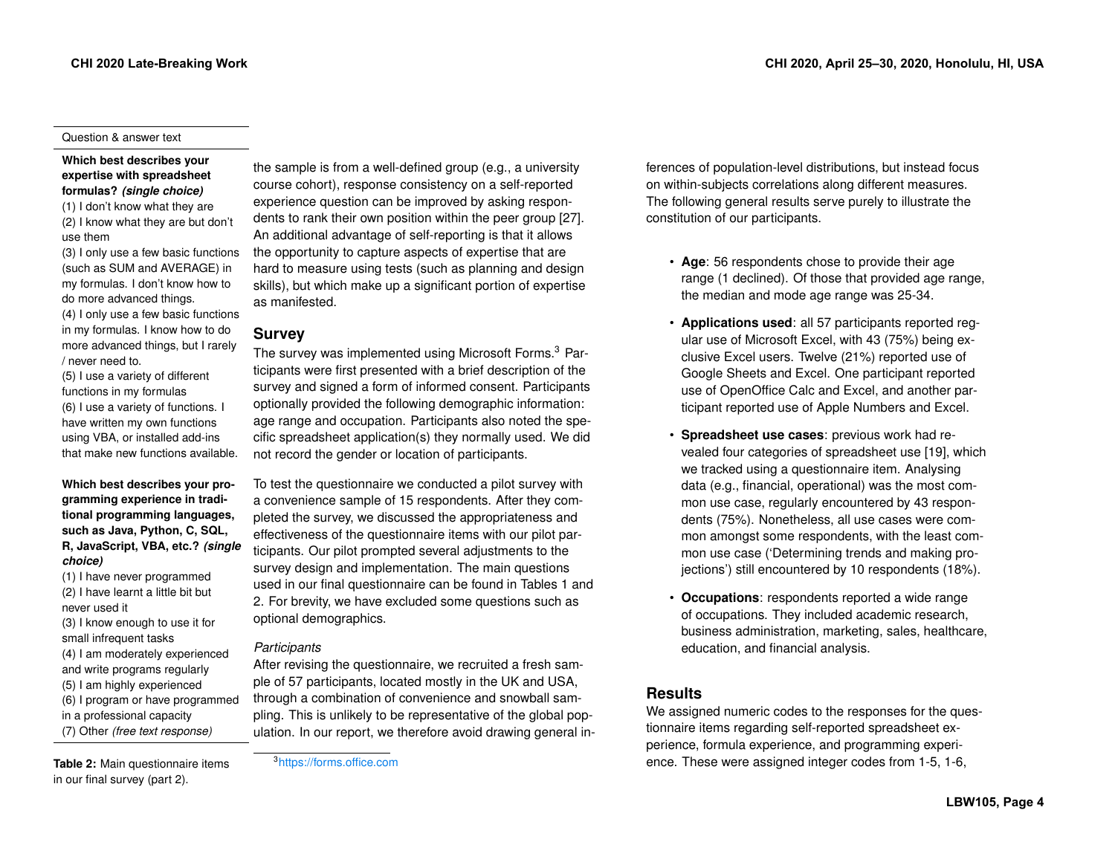#### Question & answer text

## **Which best describes your expertise with spreadsheet formulas?** *(single choice)*

- (1) I don't know what they are (2) I know what they are but don't use them
- (3) I only use a few basic functions (such as SUM and AVERAGE) in my formulas. I don't know how to do more advanced things.
- (4) I only use a few basic functions in my formulas. I know how to do more advanced things, but I rarely / never need to.
- (5) I use a variety of different functions in my formulas (6) I use a variety of functions. I have written my own functions using VBA, or installed add-ins that make new functions available.

## **Which best describes your programming experience in traditional programming languages, such as Java, Python, C, SQL, R, JavaScript, VBA, etc.?** *(single choice)*

- (1) I have never programmed (2) I have learnt a little bit but never used it
- (3) I know enough to use it for small infrequent tasks (4) I am moderately experienced and write programs regularly (5) I am highly experienced (6) I program or have programmed in a professional capacity (7) Other *(free text response)*

<span id="page-4-1"></span>**Table 2:** Main questionnaire items in our final survey (part 2).

the sample is from a well-defined group (e.g., a university course cohort), response consistency on a self-reported experience question can be improved by asking respondents to rank their own position within the peer group [\[27\]](#page-8-14). An additional advantage of self-reporting is that it allows the opportunity to capture aspects of expertise that are hard to measure using tests (such as planning and design skills), but which make up a significant portion of expertise as manifested.

# **Survey**

The survey was implemented using Microsoft Forms[.3](#page-4-0) Participants were first presented with a brief description of the survey and signed a form of informed consent. Participants optionally provided the following demographic information: age range and occupation. Participants also noted the specific spreadsheet application(s) they normally used. We did not record the gender or location of participants.

To test the questionnaire we conducted a pilot survey with a convenience sample of 15 respondents. After they completed the survey, we discussed the appropriateness and effectiveness of the questionnaire items with our pilot participants. Our pilot prompted several adjustments to the survey design and implementation. The main questions used in our final questionnaire can be found in Tables [1](#page-3-0) and [2.](#page-4-1) For brevity, we have excluded some questions such as optional demographics.

## *Participants*

After revising the questionnaire, we recruited a fresh sample of 57 participants, located mostly in the UK and USA, through a combination of convenience and snowball sampling. This is unlikely to be representative of the global population. In our report, we therefore avoid drawing general inferences of population-level distributions, but instead focus on within-subjects correlations along different measures. The following general results serve purely to illustrate the constitution of our participants.

- **Age**: 56 respondents chose to provide their age range (1 declined). Of those that provided age range, the median and mode age range was 25-34.
- **Applications used**: all 57 participants reported regular use of Microsoft Excel, with 43 (75%) being exclusive Excel users. Twelve (21%) reported use of Google Sheets and Excel. One participant reported use of OpenOffice Calc and Excel, and another participant reported use of Apple Numbers and Excel.
- **Spreadsheet use cases**: previous work had revealed four categories of spreadsheet use [\[19\]](#page-8-9), which we tracked using a questionnaire item. Analysing data (e.g., financial, operational) was the most common use case, regularly encountered by 43 respondents (75%). Nonetheless, all use cases were common amongst some respondents, with the least common use case ('Determining trends and making projections') still encountered by 10 respondents (18%).
- **Occupations**: respondents reported a wide range of occupations. They included academic research, business administration, marketing, sales, healthcare, education, and financial analysis.

# **Results**

We assigned numeric codes to the responses for the questionnaire items regarding self-reported spreadsheet experience, formula experience, and programming experience. These were assigned integer codes from 1-5, 1-6,

## <span id="page-4-0"></span>[3https://forms.office.com](https://forms.office.com)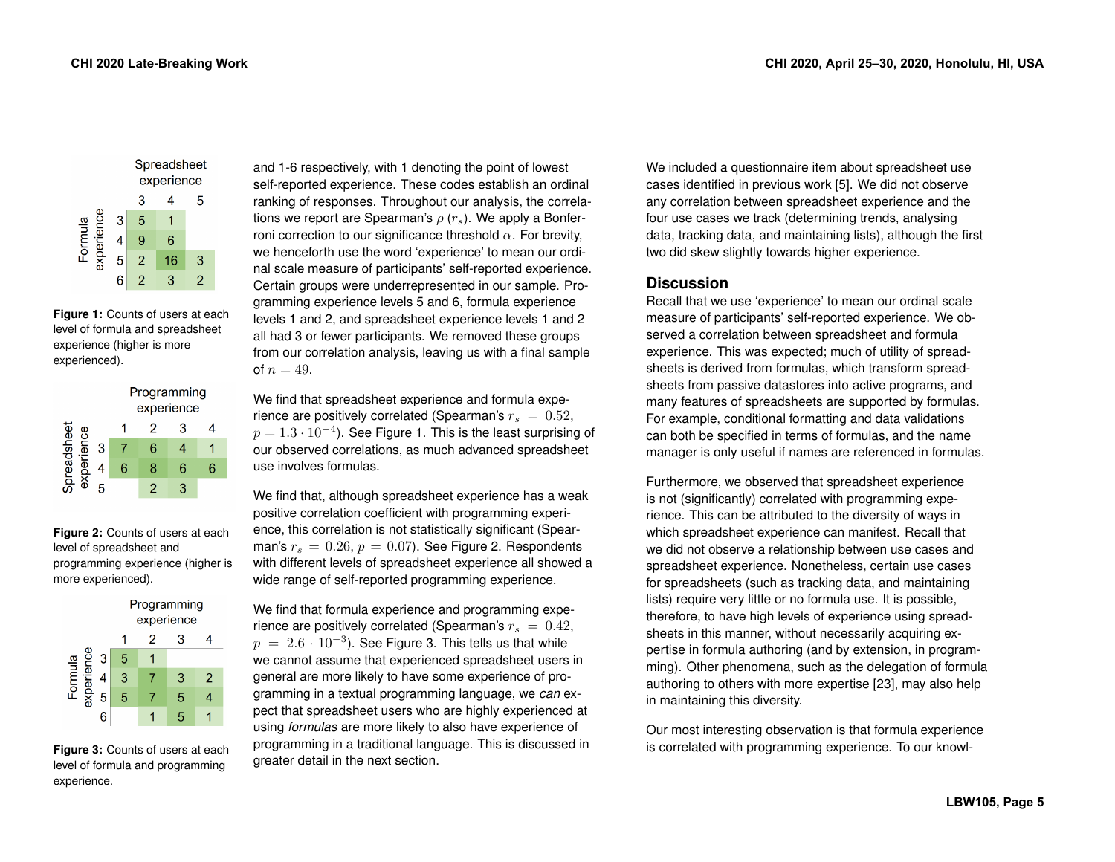|            |   | Spreadsheet<br>experience |    |   |  |
|------------|---|---------------------------|----|---|--|
|            |   | 3                         |    | 5 |  |
| experience | 3 | 5                         |    |   |  |
| Formula    | 4 | 9                         | 6  |   |  |
|            | 5 | 2                         | 16 | 3 |  |
|            | 6 | 2                         | 3  | 2 |  |

<span id="page-5-0"></span>**Figure 1:** Counts of users at each level of formula and spreadsheet experience (higher is more experienced).

|                          |   | Programming<br>experience |   |   |   |
|--------------------------|---|---------------------------|---|---|---|
|                          |   |                           |   | З |   |
| preadsheet<br>experience | 3 |                           | հ |   |   |
|                          |   | 6                         | 8 | 6 | հ |
|                          |   |                           |   | વ |   |

<span id="page-5-1"></span>**Figure 2:** Counts of users at each level of spreadsheet and programming experience (higher is more experienced).

|            |   | Programming<br>experience |   |   |                |
|------------|---|---------------------------|---|---|----------------|
|            |   |                           | 2 | 3 |                |
| experience | 3 | 5                         |   |   |                |
| Formula    |   | 3                         |   | 3 | $\overline{2}$ |
|            | 5 | 5                         |   | 5 |                |
|            | Բ |                           |   | 5 |                |

<span id="page-5-2"></span>**Figure 3:** Counts of users at each level of formula and programming experience.

and 1-6 respectively, with 1 denoting the point of lowest self-reported experience. These codes establish an ordinal ranking of responses. Throughout our analysis, the correlations we report are Spearman's  $\rho(r_s)$ . We apply a Bonferroni correction to our significance threshold  $\alpha$ . For brevity, we henceforth use the word 'experience' to mean our ordinal scale measure of participants' self-reported experience. Certain groups were underrepresented in our sample. Programming experience levels 5 and 6, formula experience levels 1 and 2, and spreadsheet experience levels 1 and 2 all had 3 or fewer participants. We removed these groups from our correlation analysis, leaving us with a final sample of  $n = 49$ .

We find that spreadsheet experience and formula experience are positively correlated (Spearman's  $r_s = 0.52$ ,  $p = 1.3 \cdot 10^{-4}$  $p = 1.3 \cdot 10^{-4}$  $p = 1.3 \cdot 10^{-4}$ ). See Figure 1. This is the least surprising of our observed correlations, as much advanced spreadsheet use involves formulas.

We find that, although spreadsheet experience has a weak positive correlation coefficient with programming experience, this correlation is not statistically significant (Spearman's  $r_s = 0.26$ ,  $p = 0.07$ ). See Figure [2.](#page-5-1) Respondents with different levels of spreadsheet experience all showed a wide range of self-reported programming experience.

We find that formula experience and programming experience are positively correlated (Spearman's  $r_s = 0.42$ ,  $p = 2.6 \cdot 10^{-3}$ . See Figure [3.](#page-5-2) This tells us that while we cannot assume that experienced spreadsheet users in general are more likely to have some experience of programming in a textual programming language, we *can* expect that spreadsheet users who are highly experienced at using *formulas* are more likely to also have experience of programming in a traditional language. This is discussed in greater detail in the next section.

We included a questionnaire item about spreadsheet use cases identified in previous work [\[5\]](#page-7-10). We did not observe any correlation between spreadsheet experience and the four use cases we track (determining trends, analysing data, tracking data, and maintaining lists), although the first two did skew slightly towards higher experience.

# **Discussion**

Recall that we use 'experience' to mean our ordinal scale measure of participants' self-reported experience. We observed a correlation between spreadsheet and formula experience. This was expected; much of utility of spreadsheets is derived from formulas, which transform spreadsheets from passive datastores into active programs, and many features of spreadsheets are supported by formulas. For example, conditional formatting and data validations can both be specified in terms of formulas, and the name manager is only useful if names are referenced in formulas.

Furthermore, we observed that spreadsheet experience is not (significantly) correlated with programming experience. This can be attributed to the diversity of ways in which spreadsheet experience can manifest. Recall that we did not observe a relationship between use cases and spreadsheet experience. Nonetheless, certain use cases for spreadsheets (such as tracking data, and maintaining lists) require very little or no formula use. It is possible, therefore, to have high levels of experience using spreadsheets in this manner, without necessarily acquiring expertise in formula authoring (and by extension, in programming). Other phenomena, such as the delegation of formula authoring to others with more expertise [\[23\]](#page-8-1), may also help in maintaining this diversity.

Our most interesting observation is that formula experience is correlated with programming experience. To our knowl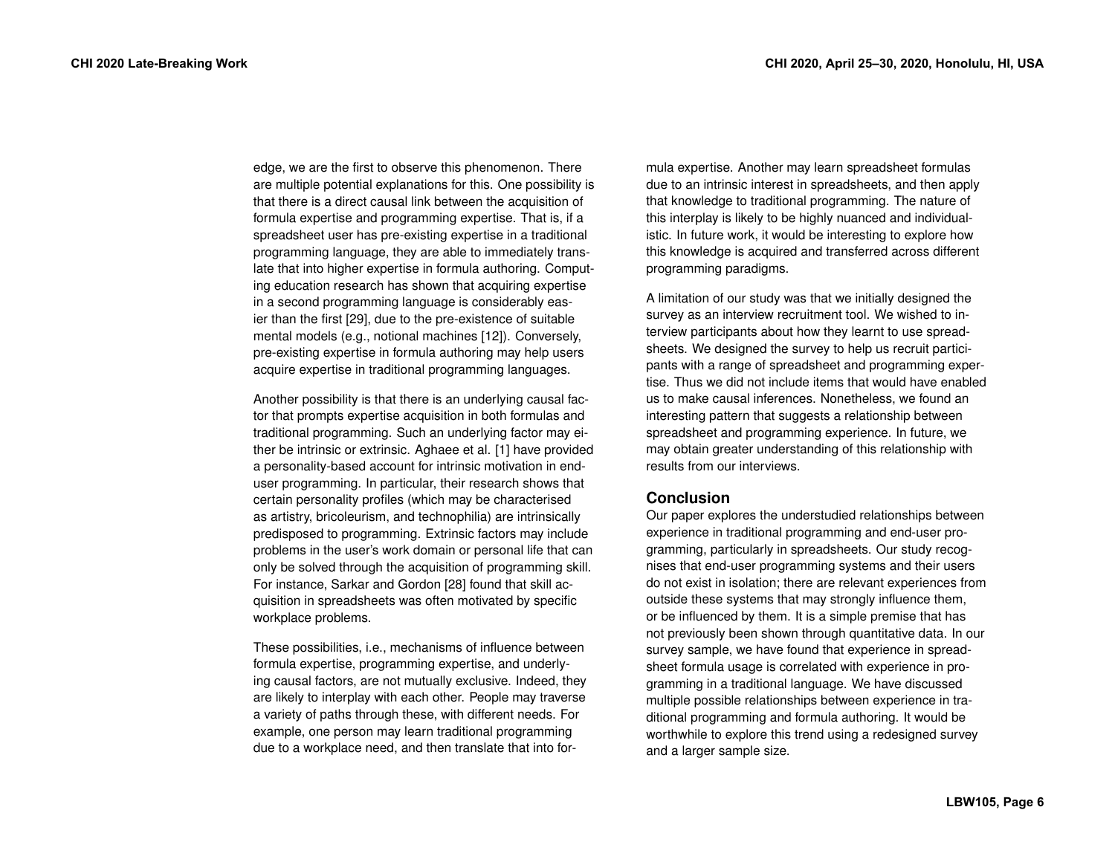edge, we are the first to observe this phenomenon. There are multiple potential explanations for this. One possibility is that there is a direct causal link between the acquisition of formula expertise and programming expertise. That is, if a spreadsheet user has pre-existing expertise in a traditional programming language, they are able to immediately translate that into higher expertise in formula authoring. Computing education research has shown that acquiring expertise in a second programming language is considerably easier than the first [\[29\]](#page-8-15), due to the pre-existence of suitable mental models (e.g., notional machines [\[12\]](#page-7-11)). Conversely, pre-existing expertise in formula authoring may help users acquire expertise in traditional programming languages.

Another possibility is that there is an underlying causal factor that prompts expertise acquisition in both formulas and traditional programming. Such an underlying factor may either be intrinsic or extrinsic. Aghaee et al. [\[1\]](#page-7-12) have provided a personality-based account for intrinsic motivation in enduser programming. In particular, their research shows that certain personality profiles (which may be characterised as artistry, bricoleurism, and technophilia) are intrinsically predisposed to programming. Extrinsic factors may include problems in the user's work domain or personal life that can only be solved through the acquisition of programming skill. For instance, Sarkar and Gordon [\[28\]](#page-8-0) found that skill acquisition in spreadsheets was often motivated by specific workplace problems.

These possibilities, i.e., mechanisms of influence between formula expertise, programming expertise, and underlying causal factors, are not mutually exclusive. Indeed, they are likely to interplay with each other. People may traverse a variety of paths through these, with different needs. For example, one person may learn traditional programming due to a workplace need, and then translate that into formula expertise. Another may learn spreadsheet formulas due to an intrinsic interest in spreadsheets, and then apply that knowledge to traditional programming. The nature of this interplay is likely to be highly nuanced and individualistic. In future work, it would be interesting to explore how this knowledge is acquired and transferred across different programming paradigms.

A limitation of our study was that we initially designed the survey as an interview recruitment tool. We wished to interview participants about how they learnt to use spreadsheets. We designed the survey to help us recruit participants with a range of spreadsheet and programming expertise. Thus we did not include items that would have enabled us to make causal inferences. Nonetheless, we found an interesting pattern that suggests a relationship between spreadsheet and programming experience. In future, we may obtain greater understanding of this relationship with results from our interviews.

## **Conclusion**

Our paper explores the understudied relationships between experience in traditional programming and end-user programming, particularly in spreadsheets. Our study recognises that end-user programming systems and their users do not exist in isolation; there are relevant experiences from outside these systems that may strongly influence them, or be influenced by them. It is a simple premise that has not previously been shown through quantitative data. In our survey sample, we have found that experience in spreadsheet formula usage is correlated with experience in programming in a traditional language. We have discussed multiple possible relationships between experience in traditional programming and formula authoring. It would be worthwhile to explore this trend using a redesigned survey and a larger sample size.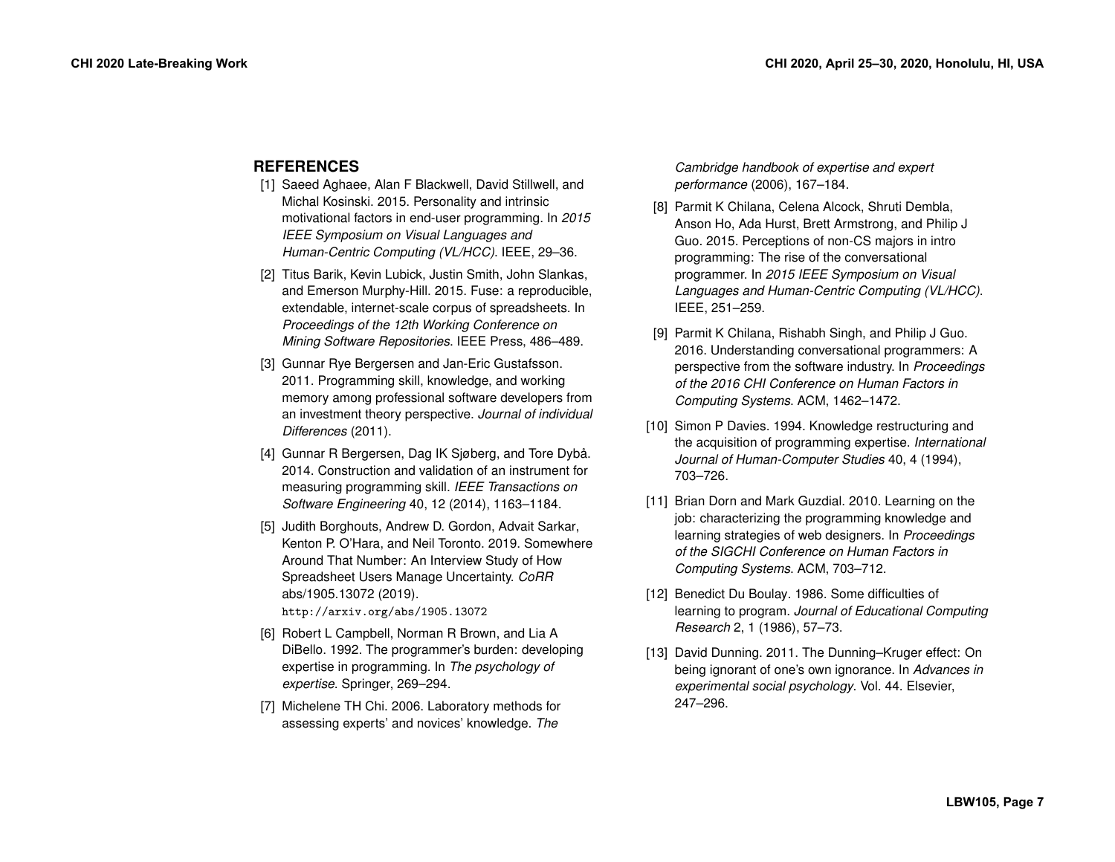# **REFERENCES**

- <span id="page-7-12"></span>[1] Saeed Aghaee, Alan F Blackwell, David Stillwell, and Michal Kosinski. 2015. Personality and intrinsic motivational factors in end-user programming. In *2015 IEEE Symposium on Visual Languages and Human-Centric Computing (VL/HCC)*. IEEE, 29–36.
- <span id="page-7-0"></span>[2] Titus Barik, Kevin Lubick, Justin Smith, John Slankas, and Emerson Murphy-Hill. 2015. Fuse: a reproducible, extendable, internet-scale corpus of spreadsheets. In *Proceedings of the 12th Working Conference on Mining Software Repositories*. IEEE Press, 486–489.
- <span id="page-7-6"></span>[3] Gunnar Rye Bergersen and Jan-Eric Gustafsson. 2011. Programming skill, knowledge, and working memory among professional software developers from an investment theory perspective. *Journal of individual Differences* (2011).
- <span id="page-7-8"></span>[4] Gunnar R Bergersen, Dag IK Sjøberg, and Tore Dybå. 2014. Construction and validation of an instrument for measuring programming skill. *IEEE Transactions on Software Engineering* 40, 12 (2014), 1163–1184.
- <span id="page-7-10"></span>[5] Judith Borghouts, Andrew D. Gordon, Advait Sarkar, Kenton P. O'Hara, and Neil Toronto. 2019. Somewhere Around That Number: An Interview Study of How Spreadsheet Users Manage Uncertainty. *CoRR*  abs/1905.13072 (2019). <http://arxiv.org/abs/1905.13072>
- <span id="page-7-4"></span>[6] Robert L Campbell, Norman R Brown, and Lia A DiBello. 1992. The programmer's burden: developing expertise in programming. In *The psychology of* 
	- *expertise*. Springer, 269–294.
- <span id="page-7-5"></span>[7] Michelene TH Chi. 2006. Laboratory methods for assessing experts' and novices' knowledge. *The*

*Cambridge handbook of expertise and expert performance* (2006), 167–184.

- <span id="page-7-1"></span>[8] Parmit K Chilana, Celena Alcock, Shruti Dembla, Anson Ho, Ada Hurst, Brett Armstrong, and Philip J Guo. 2015. Perceptions of non-CS majors in intro programming: The rise of the conversational programmer. In *2015 IEEE Symposium on Visual Languages and Human-Centric Computing (VL/HCC)*. IEEE, 251–259.
- <span id="page-7-2"></span>[9] Parmit K Chilana, Rishabh Singh, and Philip J Guo. 2016. Understanding conversational programmers: A perspective from the software industry. In *Proceedings of the 2016 CHI Conference on Human Factors in Computing Systems*. ACM, 1462–1472.
- <span id="page-7-3"></span>[10] Simon P Davies. 1994. Knowledge restructuring and the acquisition of programming expertise. *International Journal of Human-Computer Studies* 40, 4 (1994), 703–726.
- <span id="page-7-7"></span>[11] Brian Dorn and Mark Guzdial. 2010. Learning on the job: characterizing the programming knowledge and learning strategies of web designers. In *Proceedings of the SIGCHI Conference on Human Factors in Computing Systems*. ACM, 703–712.
- <span id="page-7-11"></span>[12] Benedict Du Boulay. 1986. Some difficulties of learning to program. *Journal of Educational Computing Research* 2, 1 (1986), 57–73.
- <span id="page-7-9"></span>[13] David Dunning. 2011. The Dunning–Kruger effect: On being ignorant of one's own ignorance. In *Advances in experimental social psychology*. Vol. 44. Elsevier, 247–296.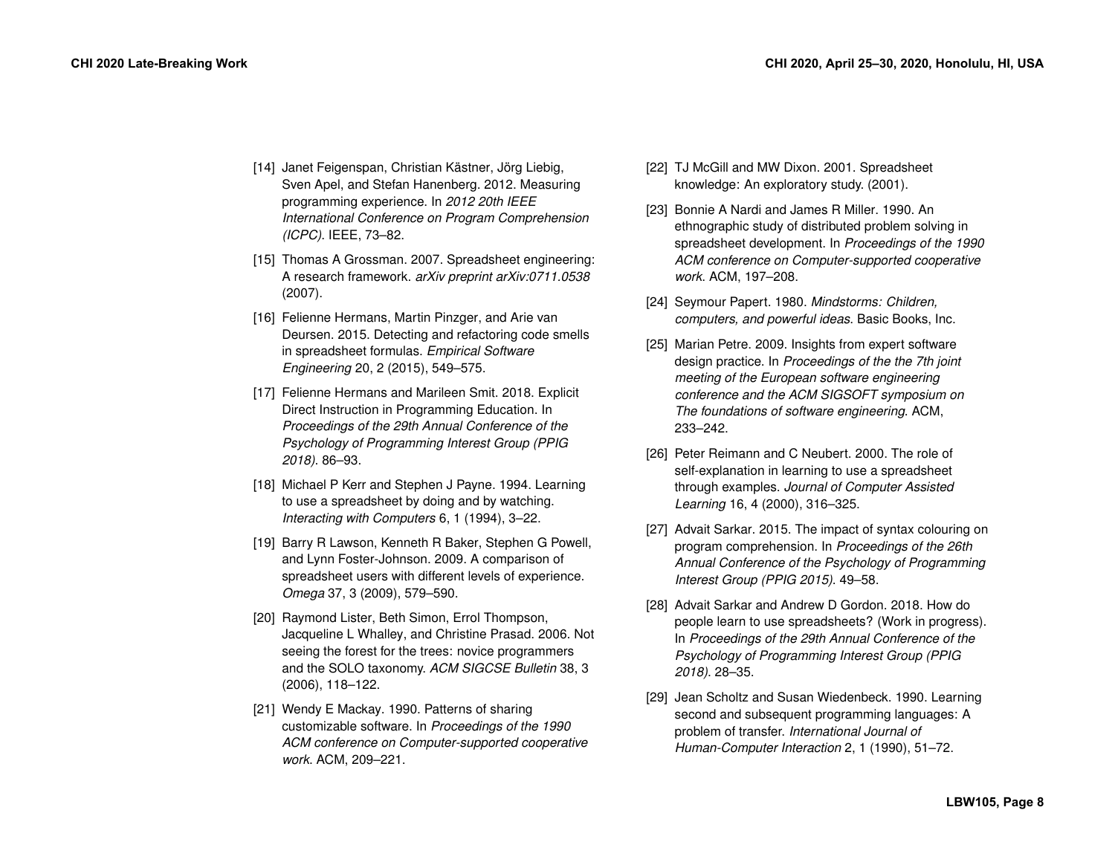- <span id="page-8-13"></span>[14] Janet Feigenspan, Christian Kästner, Jörg Liebig, Sven Apel, and Stefan Hanenberg. 2012. Measuring programming experience. In *2012 20th IEEE International Conference on Program Comprehension (ICPC)*. IEEE, 73–82.
- <span id="page-8-7"></span>[15] Thomas A Grossman. 2007. Spreadsheet engineering: A research framework. *arXiv preprint arXiv:0711.0538*  (2007).
- <span id="page-8-12"></span>[16] Felienne Hermans, Martin Pinzger, and Arie van Deursen. 2015. Detecting and refactoring code smells in spreadsheet formulas. *Empirical Software Engineering* 20, 2 (2015), 549–575.
- <span id="page-8-3"></span>[17] Felienne Hermans and Marileen Smit. 2018. Explicit Direct Instruction in Programming Education. In *Proceedings of the 29th Annual Conference of the Psychology of Programming Interest Group (PPIG 2018)*. 86–93.
- <span id="page-8-11"></span>[18] Michael P Kerr and Stephen J Payne. 1994. Learning to use a spreadsheet by doing and by watching. *Interacting with Computers* 6, 1 (1994), 3–22.
- <span id="page-8-9"></span>[19] Barry R Lawson, Kenneth R Baker, Stephen G Powell, and Lynn Foster-Johnson. 2009. A comparison of spreadsheet users with different levels of experience. *Omega* 37, 3 (2009), 579–590.
- <span id="page-8-4"></span>[20] Raymond Lister, Beth Simon, Errol Thompson, Jacqueline L Whalley, and Christine Prasad. 2006. Not seeing the forest for the trees: novice programmers and the SOLO taxonomy. *ACM SIGCSE Bulletin* 38, 3 (2006), 118–122.
- <span id="page-8-8"></span>[21] Wendy E Mackay. 1990. Patterns of sharing customizable software. In *Proceedings of the 1990 ACM conference on Computer-supported cooperative work*. ACM, 209–221.
- <span id="page-8-6"></span>[22] TJ McGill and MW Dixon. 2001. Spreadsheet knowledge: An exploratory study. (2001).
- <span id="page-8-1"></span>[23] Bonnie A Nardi and James R Miller. 1990. An ethnographic study of distributed problem solving in spreadsheet development. In *Proceedings of the 1990 ACM conference on Computer-supported cooperative work*. ACM, 197–208.
- <span id="page-8-2"></span>[24] Seymour Papert. 1980. *Mindstorms: Children, computers, and powerful ideas*. Basic Books, Inc.
- <span id="page-8-5"></span>[25] Marian Petre. 2009. Insights from expert software design practice. In *Proceedings of the the 7th joint meeting of the European software engineering conference and the ACM SIGSOFT symposium on The foundations of software engineering*. ACM, 233–242.
- <span id="page-8-10"></span>[26] Peter Reimann and C Neubert. 2000. The role of self-explanation in learning to use a spreadsheet through examples. *Journal of Computer Assisted Learning* 16, 4 (2000), 316–325.
- <span id="page-8-14"></span>[27] Advait Sarkar. 2015. The impact of syntax colouring on program comprehension. In *Proceedings of the 26th Annual Conference of the Psychology of Programming Interest Group (PPIG 2015)*. 49–58.
- <span id="page-8-0"></span>[28] Advait Sarkar and Andrew D Gordon. 2018. How do people learn to use spreadsheets? (Work in progress). In *Proceedings of the 29th Annual Conference of the Psychology of Programming Interest Group (PPIG 2018)*. 28–35.
- <span id="page-8-15"></span>[29] Jean Scholtz and Susan Wiedenbeck. 1990. Learning second and subsequent programming languages: A problem of transfer. *International Journal of Human-Computer Interaction* 2, 1 (1990), 51–72.